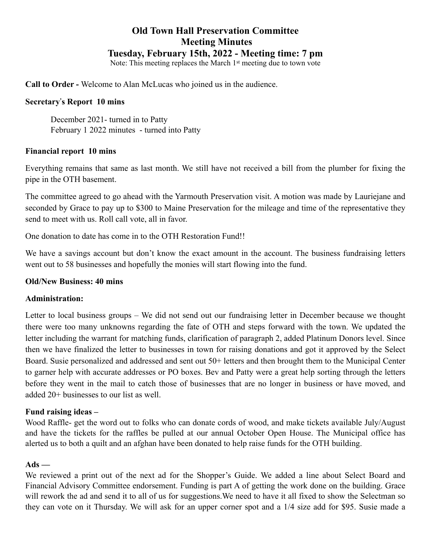# **Old Town Hall Preservation Committee Meeting Minutes Tuesday, February 15th, 2022 - Meeting time: 7 pm**

Note: This meeting replaces the March 1st meeting due to town vote

**Call to Order -** Welcome to Alan McLucas who joined us in the audience.

#### **Secretary**!**s Report 10 mins**

December 2021- turned in to Patty February 1 2022 minutes - turned into Patty

#### **Financial report 10 mins**

Everything remains that same as last month. We still have not received a bill from the plumber for fixing the pipe in the OTH basement.

The committee agreed to go ahead with the Yarmouth Preservation visit. A motion was made by Lauriejane and seconded by Grace to pay up to \$300 to Maine Preservation for the mileage and time of the representative they send to meet with us. Roll call vote, all in favor.

One donation to date has come in to the OTH Restoration Fund!!

We have a savings account but don't know the exact amount in the account. The business fundraising letters went out to 58 businesses and hopefully the monies will start flowing into the fund.

#### **Old/New Business: 40 mins**

#### **Administration:**

Letter to local business groups – We did not send out our fundraising letter in December because we thought there were too many unknowns regarding the fate of OTH and steps forward with the town. We updated the letter including the warrant for matching funds, clarification of paragraph 2, added Platinum Donors level. Since then we have finalized the letter to businesses in town for raising donations and got it approved by the Select Board. Susie personalized and addressed and sent out 50+ letters and then brought them to the Municipal Center to garner help with accurate addresses or PO boxes. Bev and Patty were a great help sorting through the letters before they went in the mail to catch those of businesses that are no longer in business or have moved, and added 20+ businesses to our list as well.

#### **Fund raising ideas –**

Wood Raffle- get the word out to folks who can donate cords of wood, and make tickets available July/August and have the tickets for the raffles be pulled at our annual October Open House. The Municipal office has alerted us to both a quilt and an afghan have been donated to help raise funds for the OTH building.

#### **Ads —**

We reviewed a print out of the next ad for the Shopper's Guide. We added a line about Select Board and Financial Advisory Committee endorsement. Funding is part A of getting the work done on the building. Grace will rework the ad and send it to all of us for suggestions. We need to have it all fixed to show the Selectman so they can vote on it Thursday. We will ask for an upper corner spot and a 1/4 size add for \$95. Susie made a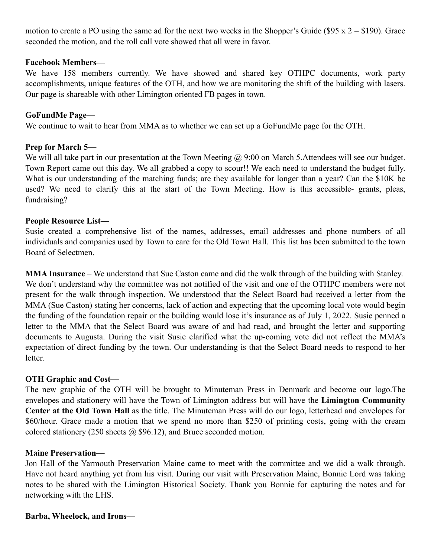motion to create a PO using the same ad for the next two weeks in the Shopper's Guide (\$95 x  $2 = $190$ ). Grace seconded the motion, and the roll call vote showed that all were in favor.

#### **Facebook Members—**

We have 158 members currently. We have showed and shared key OTHPC documents, work party accomplishments, unique features of the OTH, and how we are monitoring the shift of the building with lasers. Our page is shareable with other Limington oriented FB pages in town.

#### **GoFundMe Page—**

We continue to wait to hear from MMA as to whether we can set up a GoFundMe page for the OTH.

### **Prep for March 5—**

We will all take part in our presentation at the Town Meeting  $\omega$  9:00 on March 5. Attendees will see our budget. Town Report came out this day. We all grabbed a copy to scour!! We each need to understand the budget fully. What is our understanding of the matching funds; are they available for longer than a year? Can the \$10K be used? We need to clarify this at the start of the Town Meeting. How is this accessible- grants, pleas, fundraising?

#### **People Resource List—**

Susie created a comprehensive list of the names, addresses, email addresses and phone numbers of all individuals and companies used by Town to care for the Old Town Hall. This list has been submitted to the town Board of Selectmen.

**MMA Insurance** – We understand that Sue Caston came and did the walk through of the building with Stanley. We don't understand why the committee was not notified of the visit and one of the OTHPC members were not present for the walk through inspection. We understood that the Select Board had received a letter from the MMA (Sue Caston) stating her concerns, lack of action and expecting that the upcoming local vote would begin the funding of the foundation repair or the building would lose it's insurance as of July 1, 2022. Susie penned a letter to the MMA that the Select Board was aware of and had read, and brought the letter and supporting documents to Augusta. During the visit Susie clarified what the up-coming vote did not reflect the MMA's expectation of direct funding by the town. Our understanding is that the Select Board needs to respond to her letter.

#### **OTH Graphic and Cost—**

The new graphic of the OTH will be brought to Minuteman Press in Denmark and become our logo.The envelopes and stationery will have the Town of Limington address but will have the **Limington Community Center at the Old Town Hall** as the title. The Minuteman Press will do our logo, letterhead and envelopes for \$60/hour. Grace made a motion that we spend no more than \$250 of printing costs, going with the cream colored stationery (250 sheets  $\omega$  \$96.12), and Bruce seconded motion.

#### **Maine Preservation—**

Jon Hall of the Yarmouth Preservation Maine came to meet with the committee and we did a walk through. Have not heard anything yet from his visit. During our visit with Preservation Maine, Bonnie Lord was taking notes to be shared with the Limington Historical Society. Thank you Bonnie for capturing the notes and for networking with the LHS.

#### **Barba, Wheelock, and Irons**—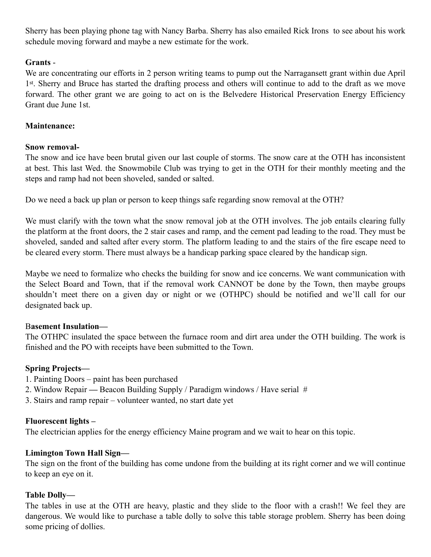Sherry has been playing phone tag with Nancy Barba. Sherry has also emailed Rick Irons to see about his work schedule moving forward and maybe a new estimate for the work.

### **Grants** -

We are concentrating our efforts in 2 person writing teams to pump out the Narragansett grant within due April 1st. Sherry and Bruce has started the drafting process and others will continue to add to the draft as we move forward. The other grant we are going to act on is the Belvedere Historical Preservation Energy Efficiency Grant due June 1st.

## **Maintenance:**

### **Snow removal-**

The snow and ice have been brutal given our last couple of storms. The snow care at the OTH has inconsistent at best. This last Wed. the Snowmobile Club was trying to get in the OTH for their monthly meeting and the steps and ramp had not been shoveled, sanded or salted.

Do we need a back up plan or person to keep things safe regarding snow removal at the OTH?

We must clarify with the town what the snow removal job at the OTH involves. The job entails clearing fully the platform at the front doors, the 2 stair cases and ramp, and the cement pad leading to the road. They must be shoveled, sanded and salted after every storm. The platform leading to and the stairs of the fire escape need to be cleared every storm. There must always be a handicap parking space cleared by the handicap sign.

Maybe we need to formalize who checks the building for snow and ice concerns. We want communication with the Select Board and Town, that if the removal work CANNOT be done by the Town, then maybe groups shouldn't meet there on a given day or night or we (OTHPC) should be notified and we'll call for our designated back up.

### B**asement Insulation—**

The OTHPC insulated the space between the furnace room and dirt area under the OTH building. The work is finished and the PO with receipts have been submitted to the Town.

# **Spring Projects—**

- 1. Painting Doors paint has been purchased
- 2. Window RepairBeacon Building Supply / Paradigm windows / Have serial #
- 3. Stairs and ramp repair volunteer wanted, no start date yet

# **Fluorescent lights –**

The electrician applies for the energy efficiency Maine program and we wait to hear on this topic.

# **Limington Town Hall Sign—**

The sign on the front of the building has come undone from the building at its right corner and we will continue to keep an eye on it.

# **Table Dolly—**

The tables in use at the OTH are heavy, plastic and they slide to the floor with a crash!! We feel they are dangerous. We would like to purchase a table dolly to solve this table storage problem. Sherry has been doing some pricing of dollies.